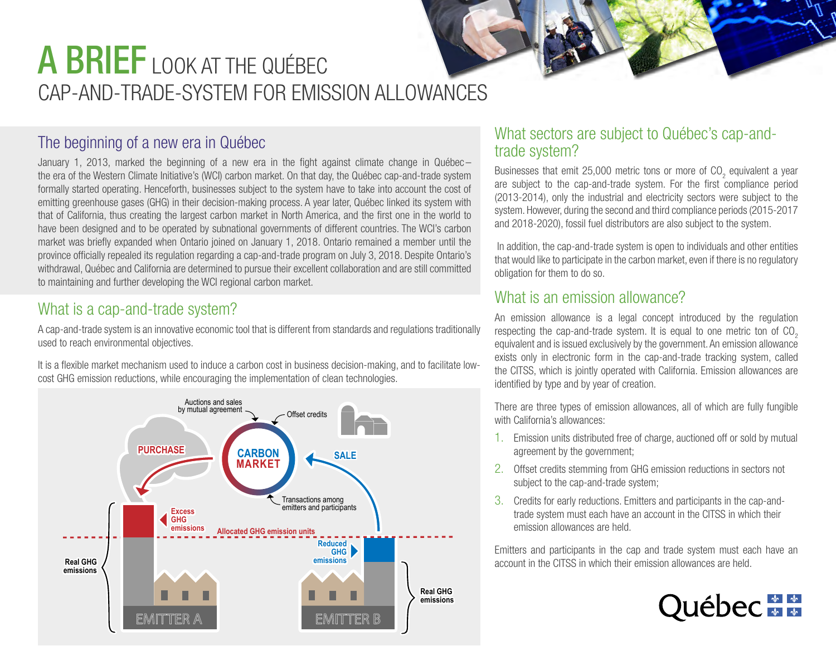# CAP-AND-TRADE-SYSTEM FOR EMISSION ALLOWANCES A BRIEF LOOK AT THE QUÉBEC

# The beginning of a new era in Québec

January 1, 2013, marked the beginning of a new era in the fight against climate change in Québec – the era of the Western Climate Initiative's (WCI) carbon market. On that day, the Québec cap-and-trade system formally started operating. Henceforth, businesses subject to the system have to take into account the cost of emitting greenhouse gases (GHG) in their decision-making process. A year later, Québec linked its system with that of California, thus creating the largest carbon market in North America, and the first one in the world to have been designed and to be operated by subnational governments of different countries. The WCI's carbon market was briefly expanded when Ontario joined on January 1, 2018. Ontario remained a member until the province officially repealed its regulation regarding a cap-and-trade program on July 3, 2018. Despite Ontario's withdrawal, Québec and California are determined to pursue their excellent collaboration and are still committed to maintaining and further developing the WCI regional carbon market.

# What is a cap-and-trade system?

A cap-and-trade system is an innovative economic tool that is different from standards and regulations traditionally used to reach environmental objectives.

It is a flexible market mechanism used to induce a carbon cost in business decision-making, and to facilitate lowcost GHG emission reductions, while encouraging the implementation of clean technologies.



#### What sectors are subject to Québec's cap-andtrade system?

Businesses that emit 25,000 metric tons or more of CO<sub>2</sub> equivalent a year are subject to the cap-and-trade system. For the first compliance period (2013-2014), only the industrial and electricity sectors were subject to the system. However, during the second and third compliance periods (2015-2017 and 2018-2020), fossil fuel distributors are also subject to the system.

 In addition, the cap-and-trade system is open to individuals and other entities that would like to participate in the carbon market, even if there is no regulatory obligation for them to do so.

### What is an emission allowance?

An emission allowance is a legal concept introduced by the regulation respecting the cap-and-trade system. It is equal to one metric ton of  $CO<sub>2</sub>$ equivalent and is issued exclusively by the government. An emission allowance exists only in electronic form in the cap-and-trade tracking system, called the CITSS, which is jointly operated with California. Emission allowances are identified by type and by year of creation.

There are three types of emission allowances, all of which are fully fungible with California's allowances:

- 1. Emission units distributed free of charge, auctioned off or sold by mutual agreement by the government;
- 2. Offset credits stemming from GHG emission reductions in sectors not subject to the cap-and-trade system;
- 3. Credits for early reductions. Emitters and participants in the cap-andtrade system must each have an account in the CITSS in which their emission allowances are held.

Emitters and participants in the cap and trade system must each have an account in the CITSS in which their emission allowances are held.